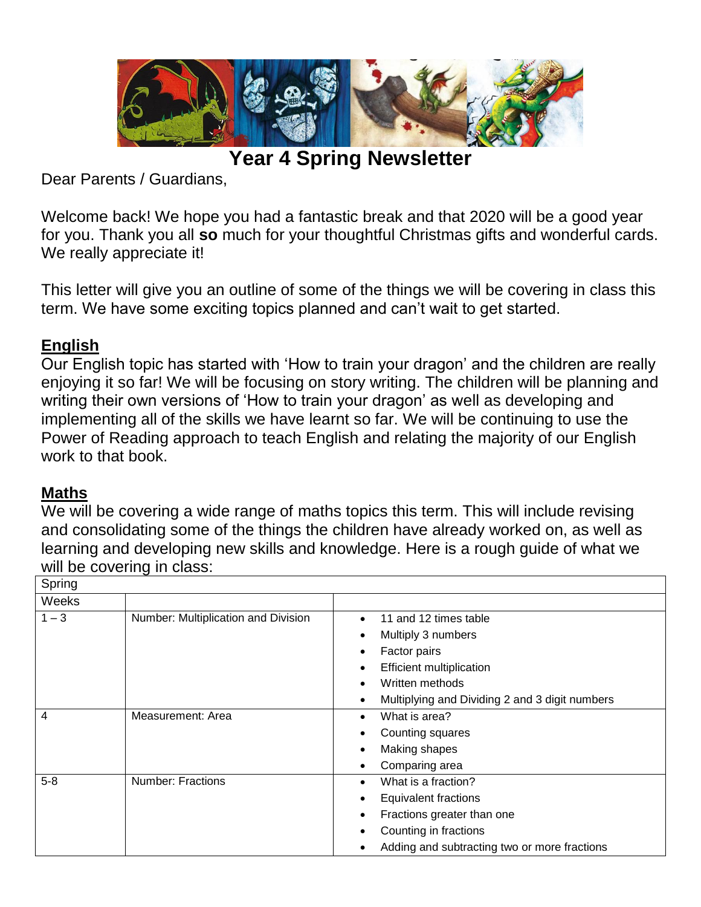

**Year 4 Spring Newsletter**

Dear Parents / Guardians,

Welcome back! We hope you had a fantastic break and that 2020 will be a good year for you. Thank you all **so** much for your thoughtful Christmas gifts and wonderful cards. We really appreciate it!

This letter will give you an outline of some of the things we will be covering in class this term. We have some exciting topics planned and can't wait to get started.

## **English**

Our English topic has started with 'How to train your dragon' and the children are really enjoying it so far! We will be focusing on story writing. The children will be planning and writing their own versions of 'How to train your dragon' as well as developing and implementing all of the skills we have learnt so far. We will be continuing to use the Power of Reading approach to teach English and relating the majority of our English work to that book.

## **Maths**

We will be covering a wide range of maths topics this term. This will include revising and consolidating some of the things the children have already worked on, as well as learning and developing new skills and knowledge. Here is a rough guide of what we will be covering in class:

| Spring  |                                     |                                                             |
|---------|-------------------------------------|-------------------------------------------------------------|
| Weeks   |                                     |                                                             |
| $1 - 3$ | Number: Multiplication and Division | 11 and 12 times table                                       |
|         |                                     | Multiply 3 numbers<br>$\bullet$                             |
|         |                                     | Factor pairs                                                |
|         |                                     | <b>Efficient multiplication</b>                             |
|         |                                     | Written methods                                             |
|         |                                     | Multiplying and Dividing 2 and 3 digit numbers<br>$\bullet$ |
| 4       | Measurement: Area                   | What is area?                                               |
|         |                                     | Counting squares                                            |
|         |                                     | Making shapes<br>٠                                          |
|         |                                     | Comparing area                                              |
| $5 - 8$ | <b>Number: Fractions</b>            | What is a fraction?                                         |
|         |                                     | <b>Equivalent fractions</b>                                 |
|         |                                     | Fractions greater than one                                  |
|         |                                     | Counting in fractions                                       |
|         |                                     | Adding and subtracting two or more fractions                |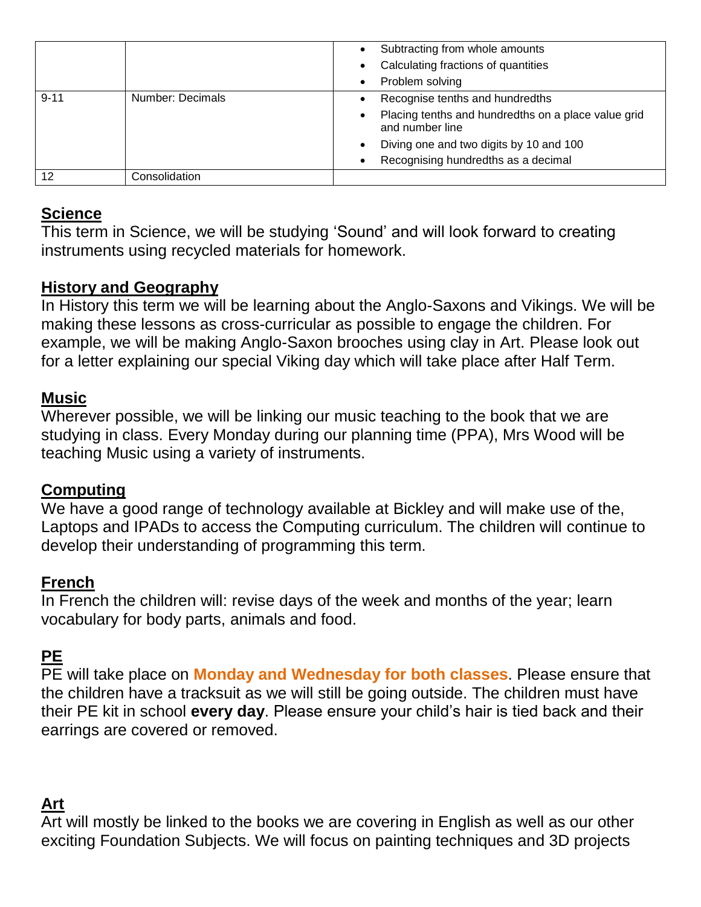|          |                  | Subtracting from whole amounts                                         |
|----------|------------------|------------------------------------------------------------------------|
|          |                  | Calculating fractions of quantities                                    |
|          |                  | Problem solving                                                        |
| $9 - 11$ | Number: Decimals | Recognise tenths and hundredths                                        |
|          |                  | Placing tenths and hundredths on a place value grid<br>and number line |
|          |                  | Diving one and two digits by 10 and 100                                |
|          |                  | Recognising hundredths as a decimal                                    |
| 12       | Consolidation    |                                                                        |

## **Science**

This term in Science, we will be studying 'Sound' and will look forward to creating instruments using recycled materials for homework.

### **History and Geography**

In History this term we will be learning about the Anglo-Saxons and Vikings. We will be making these lessons as cross-curricular as possible to engage the children. For example, we will be making Anglo-Saxon brooches using clay in Art. Please look out for a letter explaining our special Viking day which will take place after Half Term.

#### **Music**

Wherever possible, we will be linking our music teaching to the book that we are studying in class. Every Monday during our planning time (PPA), Mrs Wood will be teaching Music using a variety of instruments.

#### **Computing**

We have a good range of technology available at Bickley and will make use of the, Laptops and IPADs to access the Computing curriculum. The children will continue to develop their understanding of programming this term.

#### **French**

In French the children will: revise days of the week and months of the year; learn vocabulary for body parts, animals and food.

# **PE**

PE will take place on **Monday and Wednesday for both classes**. Please ensure that the children have a tracksuit as we will still be going outside. The children must have their PE kit in school **every day**. Please ensure your child's hair is tied back and their earrings are covered or removed.

## **Art**

Art will mostly be linked to the books we are covering in English as well as our other exciting Foundation Subjects. We will focus on painting techniques and 3D projects